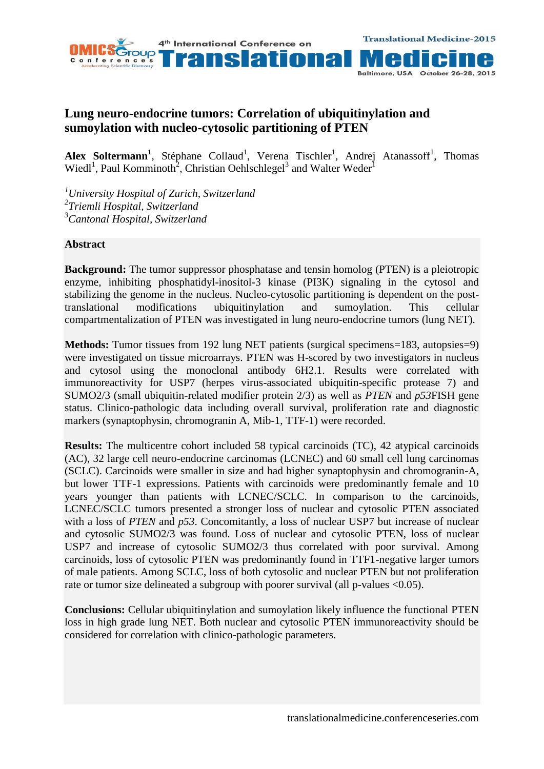

## **Lung neuro-endocrine tumors: Correlation of ubiquitinylation and sumoylation with nucleo-cytosolic partitioning of PTEN**

Alex Soltermann<sup>1</sup>, Stéphane Collaud<sup>1</sup>, Verena Tischler<sup>1</sup>, Andrej Atanassoff<sup>1</sup>, Thomas Wiedl<sup>1</sup>, Paul Komminoth<sup>2</sup>, Christian Oehlschlegel<sup>3</sup> and Walter Weder<sup>1</sup>

*<sup>1</sup>University Hospital of Zurich, Switzerland 2 Triemli Hospital, Switzerland <sup>3</sup>Cantonal Hospital, Switzerland*

## **Abstract**

**Background:** The tumor suppressor phosphatase and tensin homolog (PTEN) is a pleiotropic enzyme, inhibiting phosphatidyl-inositol-3 kinase (PI3K) signaling in the cytosol and stabilizing the genome in the nucleus. Nucleo-cytosolic partitioning is dependent on the posttranslational modifications ubiquitinylation and sumoylation. This cellular compartmentalization of PTEN was investigated in lung neuro-endocrine tumors (lung NET).

**Methods:** Tumor tissues from 192 lung NET patients (surgical specimens=183, autopsies=9) were investigated on tissue microarrays. PTEN was H-scored by two investigators in nucleus and cytosol using the monoclonal antibody 6H2.1. Results were correlated with immunoreactivity for USP7 (herpes virus-associated ubiquitin-specific protease 7) and SUMO2/3 (small ubiquitin-related modifier protein 2/3) as well as *PTEN* and *p53*FISH gene status. Clinico-pathologic data including overall survival, proliferation rate and diagnostic markers (synaptophysin, chromogranin A, Mib-1, TTF-1) were recorded.

**Results:** The multicentre cohort included 58 typical carcinoids (TC), 42 atypical carcinoids (AC), 32 large cell neuro-endocrine carcinomas (LCNEC) and 60 small cell lung carcinomas (SCLC). Carcinoids were smaller in size and had higher synaptophysin and chromogranin-A, but lower TTF-1 expressions. Patients with carcinoids were predominantly female and 10 years younger than patients with LCNEC/SCLC. In comparison to the carcinoids, LCNEC/SCLC tumors presented a stronger loss of nuclear and cytosolic PTEN associated with a loss of *PTEN* and  $p53$ . Concomitantly, a loss of nuclear USP7 but increase of nuclear and cytosolic SUMO2/3 was found. Loss of nuclear and cytosolic PTEN, loss of nuclear USP7 and increase of cytosolic SUMO2/3 thus correlated with poor survival. Among carcinoids, loss of cytosolic PTEN was predominantly found in TTF1-negative larger tumors of male patients. Among SCLC, loss of both cytosolic and nuclear PTEN but not proliferation rate or tumor size delineated a subgroup with poorer survival (all p-values <0.05).

**Conclusions:** Cellular ubiquitinylation and sumoylation likely influence the functional PTEN loss in high grade lung NET. Both nuclear and cytosolic PTEN immunoreactivity should be considered for correlation with clinico-pathologic parameters.